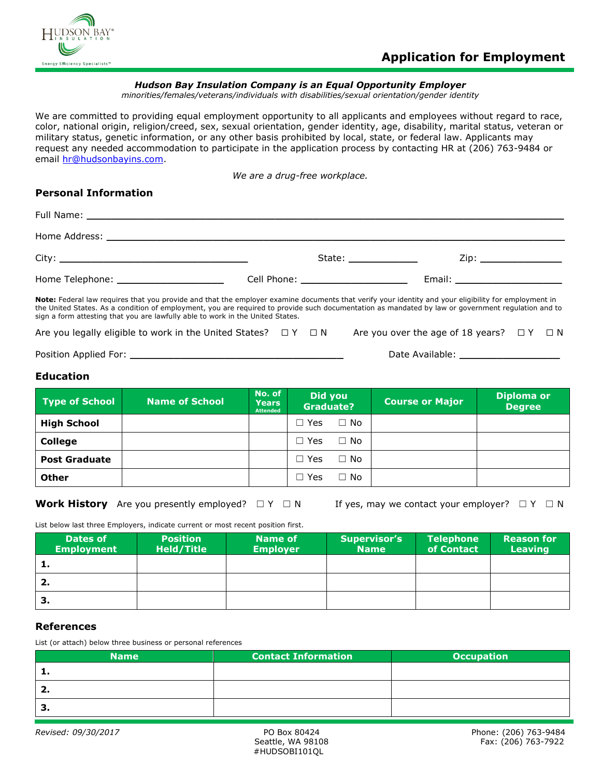

### *Hudson Bay Insulation Company is an Equal Opportunity Employer*

*minorities/females/veterans/individuals with disabilities/sexual orientation/gender identity*

We are committed to providing equal employment opportunity to all applicants and employees without regard to race, color, national origin, religion/creed, sex, sexual orientation, gender identity, age, disability, marital status, veteran or military status, genetic information, or any other basis prohibited by local, state, or federal law. Applicants may request any needed accommodation to participate in the application process by contacting HR at (206) 763-9484 or email [hr@hudsonbayins.com.](mailto:hr@hudsonbayins.com)

*We are a drug-free workplace.*

### **Personal Information**

|                                                                                                                                                                                                                                                                                                                                                                                              | State: _______________ | Zip: _________________           |
|----------------------------------------------------------------------------------------------------------------------------------------------------------------------------------------------------------------------------------------------------------------------------------------------------------------------------------------------------------------------------------------------|------------------------|----------------------------------|
| Home Telephone: _______________________                                                                                                                                                                                                                                                                                                                                                      |                        | Email: _________________________ |
| Note: Federal law requires that you provide and that the employer examine documents that verify your identity and your eligibility for employment in<br>the United States. As a condition of employment, you are required to provide such documentation as mandated by law or government requlation and to<br>sign a form attesting that you are lawfully able to work in the United States. |                        |                                  |

Are you legally eligible to work in the United States?  $□Y □N$  Are you over the age of 18 years?  $□Y □N$ 

Position Applied For: **\_\_\_\_\_\_\_\_\_\_\_\_\_\_\_\_\_\_\_\_\_\_\_\_\_\_\_\_\_\_\_\_\_\_** Date Available: **\_\_\_\_\_\_\_\_\_\_\_\_\_\_\_\_**

#### **Education**

| <b>Type of School</b> | <b>Name of School</b> | No. of<br>Years<br><b>Attended</b> | Did you<br><b>Graduate?</b> | <b>Course or Major</b> | <b>Diploma or</b><br><b>Degree</b> |
|-----------------------|-----------------------|------------------------------------|-----------------------------|------------------------|------------------------------------|
| <b>High School</b>    |                       |                                    | $\Box$ No<br>∃ Yes          |                        |                                    |
| <b>College</b>        |                       |                                    | $\Box$ No<br>$\Box$ Yes     |                        |                                    |
| <b>Post Graduate</b>  |                       |                                    | $\Box$ No<br>∃ Yes          |                        |                                    |
| <b>Other</b>          |                       |                                    | $\Box$ No<br>∃ Yes          |                        |                                    |

**Work History** Are you presently employed?  $□ Y □ N$  If yes, may we contact your employer?  $□ Y □ N$ 

List below last three Employers, indicate current or most recent position first.

| Dates of<br><b>Employment</b> | <b>Position</b><br>Held/Title | <b>Name of</b><br><b>Employer</b> | <b>Supervisor's</b><br><b>Name</b> | <b>Telephone</b><br>of Contact | <b>Reason for</b><br><b>Leaving</b> |
|-------------------------------|-------------------------------|-----------------------------------|------------------------------------|--------------------------------|-------------------------------------|
| л.                            |                               |                                   |                                    |                                |                                     |
| 2.                            |                               |                                   |                                    |                                |                                     |
| з.                            |                               |                                   |                                    |                                |                                     |

### **References**

List (or attach) below three business or personal references

| <b>Name</b> | <b>Contact Information</b> | <b>Occupation</b> |
|-------------|----------------------------|-------------------|
| . .         |                            |                   |
|             |                            |                   |
| 5.          |                            |                   |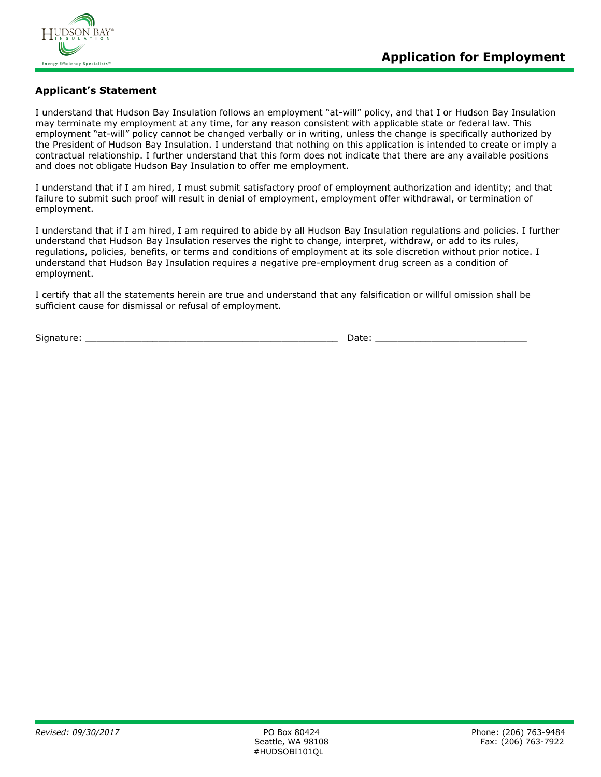

### **Applicant's Statement**

I understand that Hudson Bay Insulation follows an employment "at-will" policy, and that I or Hudson Bay Insulation may terminate my employment at any time, for any reason consistent with applicable state or federal law. This employment "at-will" policy cannot be changed verbally or in writing, unless the change is specifically authorized by the President of Hudson Bay Insulation. I understand that nothing on this application is intended to create or imply a contractual relationship. I further understand that this form does not indicate that there are any available positions and does not obligate Hudson Bay Insulation to offer me employment.

I understand that if I am hired, I must submit satisfactory proof of employment authorization and identity; and that failure to submit such proof will result in denial of employment, employment offer withdrawal, or termination of employment.

I understand that if I am hired, I am required to abide by all Hudson Bay Insulation regulations and policies. I further understand that Hudson Bay Insulation reserves the right to change, interpret, withdraw, or add to its rules, regulations, policies, benefits, or terms and conditions of employment at its sole discretion without prior notice. I understand that Hudson Bay Insulation requires a negative pre-employment drug screen as a condition of employment.

I certify that all the statements herein are true and understand that any falsification or willful omission shall be sufficient cause for dismissal or refusal of employment.

Signature: \_\_\_\_\_\_\_\_\_\_\_\_\_\_\_\_\_\_\_\_\_\_\_\_\_\_\_\_\_\_\_\_\_\_\_\_\_\_\_\_\_\_\_\_\_ Date: \_\_\_\_\_\_\_\_\_\_\_\_\_\_\_\_\_\_\_\_\_\_\_\_\_\_\_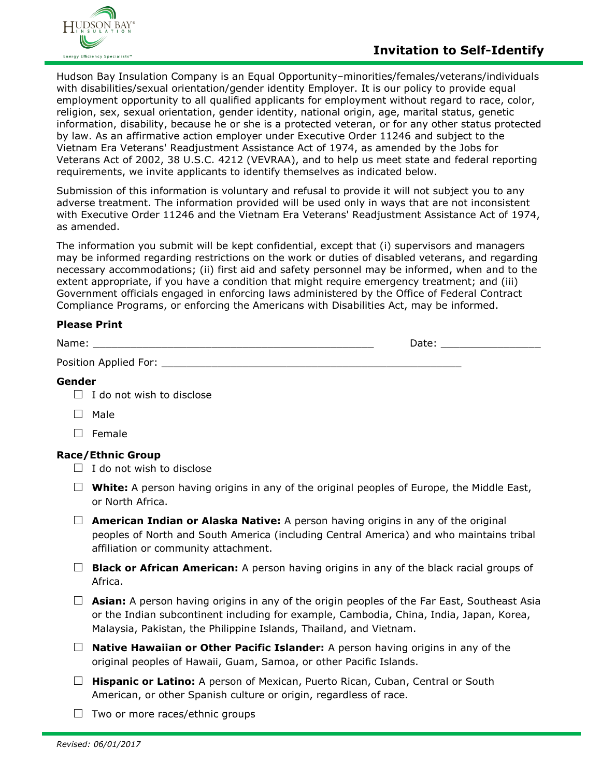

Hudson Bay Insulation Company is an Equal Opportunity–minorities/females/veterans/individuals with disabilities/sexual orientation/gender identity Employer. It is our policy to provide equal employment opportunity to all qualified applicants for employment without regard to race, color, religion, sex, sexual orientation, gender identity, national origin, age, marital status, genetic information, disability, because he or she is a protected veteran, or for any other status protected by law. As an affirmative action employer under Executive Order 11246 and subject to the Vietnam Era Veterans' Readjustment Assistance Act of 1974, as amended by the Jobs for Veterans Act of 2002, 38 U.S.C. 4212 (VEVRAA), and to help us meet state and federal reporting requirements, we invite applicants to identify themselves as indicated below.

Submission of this information is voluntary and refusal to provide it will not subject you to any adverse treatment. The information provided will be used only in ways that are not inconsistent with Executive Order 11246 and the Vietnam Era Veterans' Readjustment Assistance Act of 1974, as amended.

The information you submit will be kept confidential, except that (i) supervisors and managers may be informed regarding restrictions on the work or duties of disabled veterans, and regarding necessary accommodations; (ii) first aid and safety personnel may be informed, when and to the extent appropriate, if you have a condition that might require emergency treatment; and (iii) Government officials engaged in enforcing laws administered by the Office of Federal Contract Compliance Programs, or enforcing the Americans with Disabilities Act, may be informed.

## **Please Print**

| Name:                 | Date: |
|-----------------------|-------|
| Position Applied For: |       |

# **Gender**

- $\Box$  I do not wish to disclose
- □ Male
- □ Female

## **Race/Ethnic Group**

- $\Box$  I do not wish to disclose
- $\Box$  **White:** A person having origins in any of the original peoples of Europe, the Middle East, or North Africa.
- □ **American Indian or Alaska Native:** A person having origins in any of the original peoples of North and South America (including Central America) and who maintains tribal affiliation or community attachment.
- □ **Black or African American:** A person having origins in any of the black racial groups of Africa.
- □ **Asian:** A person having origins in any of the origin peoples of the Far East, Southeast Asia or the Indian subcontinent including for example, Cambodia, China, India, Japan, Korea, Malaysia, Pakistan, the Philippine Islands, Thailand, and Vietnam.
- □ **Native Hawaiian or Other Pacific Islander:** A person having origins in any of the original peoples of Hawaii, Guam, Samoa, or other Pacific Islands.
- □ **Hispanic or Latino:** A person of Mexican, Puerto Rican, Cuban, Central or South American, or other Spanish culture or origin, regardless of race.
- $\Box$  Two or more races/ethnic groups